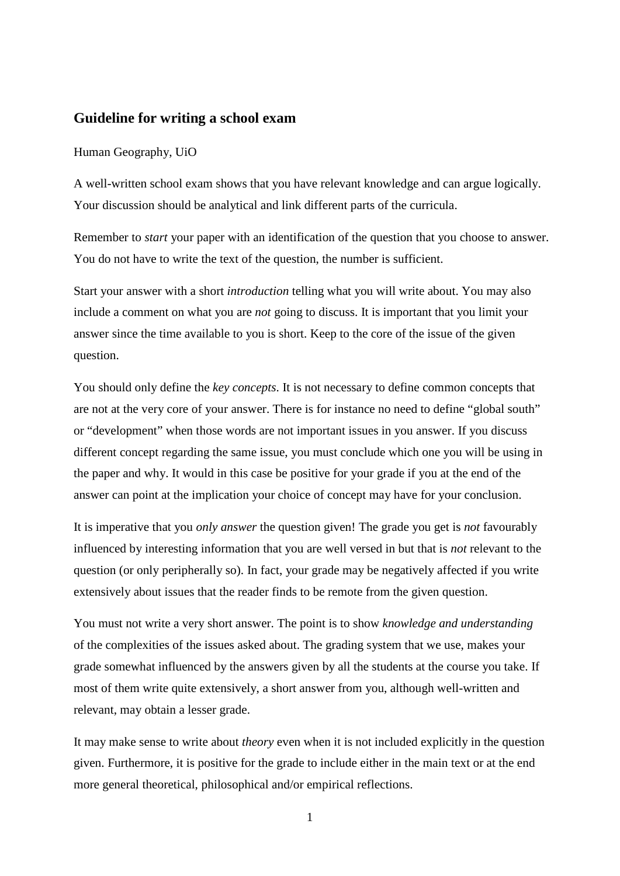## **Guideline for writing a school exam**

## Human Geography, UiO

A well-written school exam shows that you have relevant knowledge and can argue logically. Your discussion should be analytical and link different parts of the curricula.

Remember to *start* your paper with an identification of the question that you choose to answer. You do not have to write the text of the question, the number is sufficient.

Start your answer with a short *introduction* telling what you will write about. You may also include a comment on what you are *not* going to discuss. It is important that you limit your answer since the time available to you is short. Keep to the core of the issue of the given question.

You should only define the *key concepts*. It is not necessary to define common concepts that are not at the very core of your answer. There is for instance no need to define "global south" or "development" when those words are not important issues in you answer. If you discuss different concept regarding the same issue, you must conclude which one you will be using in the paper and why. It would in this case be positive for your grade if you at the end of the answer can point at the implication your choice of concept may have for your conclusion.

It is imperative that you *only answer* the question given! The grade you get is *not* favourably influenced by interesting information that you are well versed in but that is *not* relevant to the question (or only peripherally so). In fact, your grade may be negatively affected if you write extensively about issues that the reader finds to be remote from the given question.

You must not write a very short answer. The point is to show *knowledge and understanding* of the complexities of the issues asked about. The grading system that we use, makes your grade somewhat influenced by the answers given by all the students at the course you take. If most of them write quite extensively, a short answer from you, although well-written and relevant, may obtain a lesser grade.

It may make sense to write about *theory* even when it is not included explicitly in the question given. Furthermore, it is positive for the grade to include either in the main text or at the end more general theoretical, philosophical and/or empirical reflections.